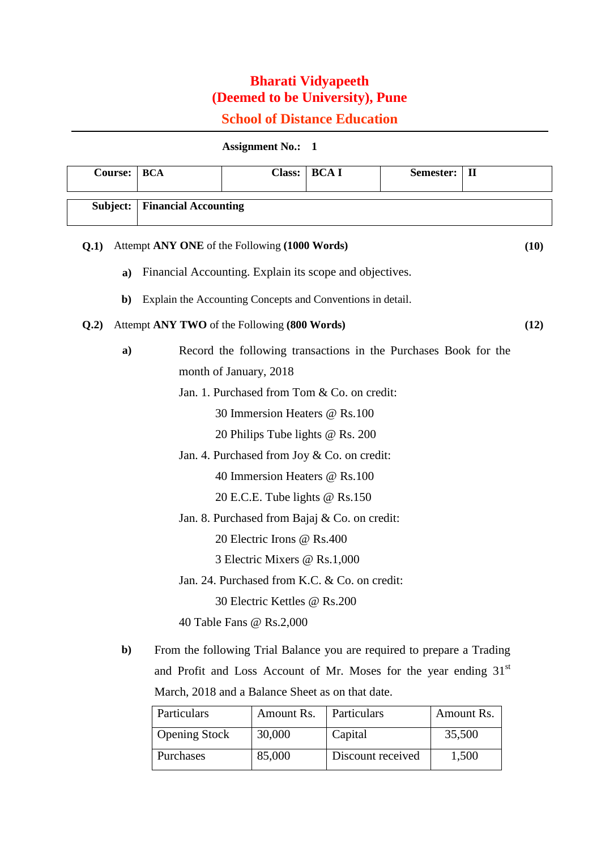## **Bharati Vidyapeeth (Deemed to be University), Pune**

## **School of Distance Education**

## **Assignment No.: 1**

| Course: |                                                      | <b>BCA</b>                                              | <b>Class:</b>                                                          | <b>BCAI</b> | Semester: | $\mathbf{I}$ |  |  |
|---------|------------------------------------------------------|---------------------------------------------------------|------------------------------------------------------------------------|-------------|-----------|--------------|--|--|
|         | Subject:                                             | <b>Financial Accounting</b>                             |                                                                        |             |           |              |  |  |
| Q.1)    |                                                      | Attempt ANY ONE of the Following (1000 Words)<br>(10)   |                                                                        |             |           |              |  |  |
|         | $\mathbf{a}$                                         | Financial Accounting. Explain its scope and objectives. |                                                                        |             |           |              |  |  |
|         | $\mathbf{b}$                                         |                                                         | Explain the Accounting Concepts and Conventions in detail.             |             |           |              |  |  |
| Q.2)    | Attempt ANY TWO of the Following (800 Words)<br>(12) |                                                         |                                                                        |             |           |              |  |  |
|         | a)                                                   |                                                         | Record the following transactions in the Purchases Book for the        |             |           |              |  |  |
|         |                                                      |                                                         | month of January, 2018                                                 |             |           |              |  |  |
|         | Jan. 1. Purchased from Tom & Co. on credit:          |                                                         |                                                                        |             |           |              |  |  |
|         |                                                      |                                                         | 30 Immersion Heaters @ Rs.100                                          |             |           |              |  |  |
|         |                                                      |                                                         | 20 Philips Tube lights @ Rs. 200                                       |             |           |              |  |  |
|         |                                                      |                                                         | Jan. 4. Purchased from Joy & Co. on credit:                            |             |           |              |  |  |
|         |                                                      |                                                         | 40 Immersion Heaters @ Rs.100                                          |             |           |              |  |  |
|         |                                                      |                                                         | 20 E.C.E. Tube lights @ Rs.150                                         |             |           |              |  |  |
|         |                                                      |                                                         | Jan. 8. Purchased from Bajaj & Co. on credit:                          |             |           |              |  |  |
|         |                                                      |                                                         | 20 Electric Irons @ Rs.400                                             |             |           |              |  |  |
|         |                                                      |                                                         | 3 Electric Mixers @ Rs.1,000                                           |             |           |              |  |  |
|         |                                                      |                                                         | Jan. 24. Purchased from K.C. & Co. on credit:                          |             |           |              |  |  |
|         |                                                      |                                                         | 30 Electric Kettles @ Rs.200                                           |             |           |              |  |  |
|         |                                                      |                                                         | 40 Table Fans @ Rs.2,000                                               |             |           |              |  |  |
|         | b)                                                   |                                                         | From the following Trial Balance you are required to prepare a Trading |             |           |              |  |  |

**b)** From the following Trial Balance you are required to prepare a Trading and Profit and Loss Account of Mr. Moses for the year ending 31st March, 2018 and a Balance Sheet as on that date.

| Particulars          | Amount Rs. | Particulars       | Amount Rs. |
|----------------------|------------|-------------------|------------|
| <b>Opening Stock</b> | 30,000     | Capital           | 35,500     |
| Purchases            | 85,000     | Discount received | 1,500      |